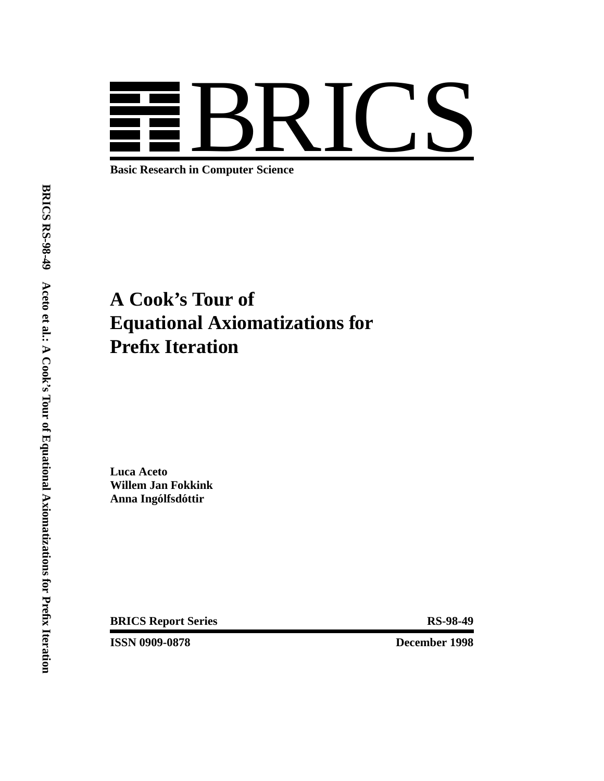# BRICS

**Basic Research in Computer Science**

# **A Cook's Tour of Equational Axiomatizations for Prefix Iteration**

**Luca Aceto Willem Jan Fokkink**  $A$ nna Ingólfsdóttir

**BRICS Report Series** RS-98-49

**ISSN 0909-0878 December 1998**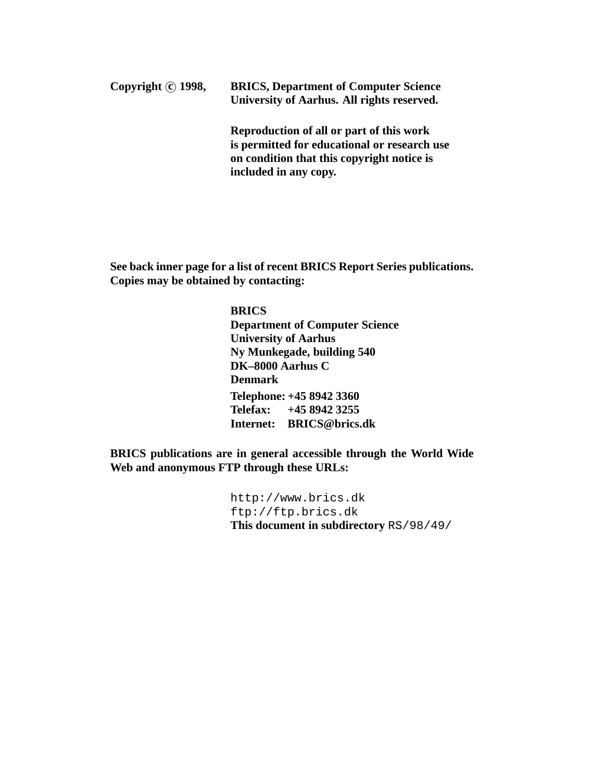**Copyright c 1998, BRICS, Department of Computer Science University of Aarhus. All rights reserved.**

> **Reproduction of all or part of this work is permitted for educational or research use on condition that this copyright notice is included in any copy.**

**See back inner page for a list of recent BRICS Report Series publications. Copies may be obtained by contacting:**

> **BRICS Department of Computer Science University of Aarhus Ny Munkegade, building 540 DK–8000 Aarhus C Denmark Telephone: +45 8942 3360 Telefax: +45 8942 3255 Internet: BRICS@brics.dk**

**BRICS publications are in general accessible through the World Wide Web and anonymous FTP through these URLs:**

> http://www.brics.dk ftp://ftp.brics.dk **This document in subdirectory** RS/98/49/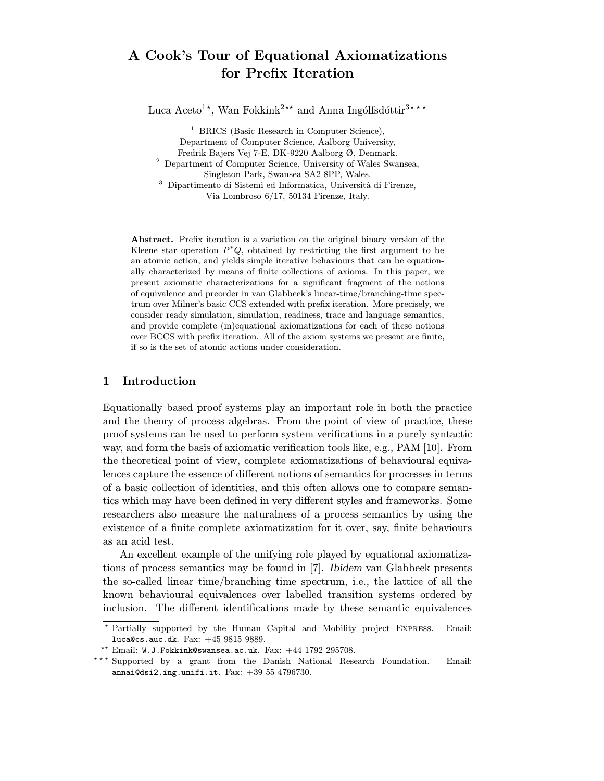## A Cook's Tour of Equational Axiomatizations for Prefix Iteration

Luca Aceto $^{1\star},$  Wan Fokkink $^{2\star\star}$  and Anna Ingólfsdóttir $^{3\star\,\star\,\star}$ 

 $^{\rm 1}$  BRICS (Basic Research in Computer Science), Department of Computer Science, Aalborg University, Fredrik Bajers Vej 7-E, DK-9220 Aalborg Ø, Denmark. <sup>2</sup> Department of Computer Science, University of Wales Swansea,

Singleton Park, Swansea SA2 8PP, Wales.

 $^3$  Dipartimento di Sistemi ed Informatica, Università di Firenze, Via Lombroso 6/17, 50134 Firenze, Italy.

Abstract. Prefix iteration is a variation on the original binary version of the Kleene star operation  $P^*Q$ , obtained by restricting the first argument to be an atomic action, and yields simple iterative behaviours that can be equationally characterized by means of finite collections of axioms. In this paper, we present axiomatic characterizations for a significant fragment of the notions of equivalence and preorder in van Glabbeek's linear-time/branching-time spectrum over Milner's basic CCS extended with prefix iteration. More precisely, we consider ready simulation, simulation, readiness, trace and language semantics, and provide complete (in)equational axiomatizations for each of these notions over BCCS with prefix iteration. All of the axiom systems we present are finite, if so is the set of atomic actions under consideration.

#### 1 Introduction

Equationally based proof systems play an important role in both the practice and the theory of process algebras. From the point of view of practice, these proof systems can be used to perform system verifications in a purely syntactic way, and form the basis of axiomatic verification tools like, e.g., PAM [10]. From the theoretical point of view, complete axiomatizations of behavioural equivalences capture the essence of different notions of semantics for processes in terms of a basic collection of identities, and this often allows one to compare semantics which may have been defined in very different styles and frameworks. Some researchers also measure the naturalness of a process semantics by using the existence of a finite complete axiomatization for it over, say, finite behaviours as an acid test.

An excellent example of the unifying role played by equational axiomatizations of process semantics may be found in [7]. Ibidem van Glabbeek presents the so-called linear time/branching time spectrum, i.e., the lattice of all the known behavioural equivalences over labelled transition systems ordered by inclusion. The different identifications made by these semantic equivalences

Partially supported by the Human Capital and Mobility project Express. Email: luca@cs.auc.dk. Fax: +45 9815 9889.

 $^{\star\star}$  Email: W.J.Fokkink@swansea.ac.uk. Fax:  $+44$  1792 295708.

<sup>\*\*\*</sup> Supported by a grant from the Danish National Research Foundation. Email: annai@dsi2.ing.unifi.it. Fax:  $+39554796730$ .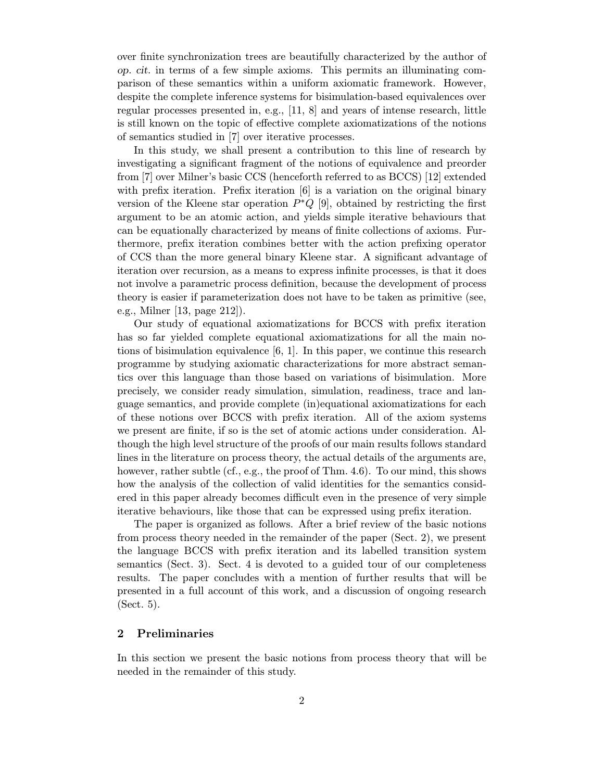over finite synchronization trees are beautifully characterized by the author of op. cit. in terms of a few simple axioms. This permits an illuminating comparison of these semantics within a uniform axiomatic framework. However, despite the complete inference systems for bisimulation-based equivalences over regular processes presented in, e.g., [11, 8] and years of intense research, little is still known on the topic of effective complete axiomatizations of the notions of semantics studied in [7] over iterative processes.

In this study, we shall present a contribution to this line of research by investigating a significant fragment of the notions of equivalence and preorder from [7] over Milner's basic CCS (henceforth referred to as BCCS) [12] extended with prefix iteration. Prefix iteration [6] is a variation on the original binary version of the Kleene star operation  $P^*Q$  [9], obtained by restricting the first argument to be an atomic action, and yields simple iterative behaviours that can be equationally characterized by means of finite collections of axioms. Furthermore, prefix iteration combines better with the action prefixing operator of CCS than the more general binary Kleene star. A significant advantage of iteration over recursion, as a means to express infinite processes, is that it does not involve a parametric process definition, because the development of process theory is easier if parameterization does not have to be taken as primitive (see, e.g., Milner [13, page 212]).

Our study of equational axiomatizations for BCCS with prefix iteration has so far yielded complete equational axiomatizations for all the main notions of bisimulation equivalence  $[6, 1]$ . In this paper, we continue this research programme by studying axiomatic characterizations for more abstract semantics over this language than those based on variations of bisimulation. More precisely, we consider ready simulation, simulation, readiness, trace and language semantics, and provide complete (in)equational axiomatizations for each of these notions over BCCS with prefix iteration. All of the axiom systems we present are finite, if so is the set of atomic actions under consideration. Although the high level structure of the proofs of our main results follows standard lines in the literature on process theory, the actual details of the arguments are, however, rather subtle (cf., e.g., the proof of Thm. 4.6). To our mind, this shows how the analysis of the collection of valid identities for the semantics considered in this paper already becomes difficult even in the presence of very simple iterative behaviours, like those that can be expressed using prefix iteration.

The paper is organized as follows. After a brief review of the basic notions from process theory needed in the remainder of the paper (Sect. 2), we present the language BCCS with prefix iteration and its labelled transition system semantics (Sect. 3). Sect. 4 is devoted to a guided tour of our completeness results. The paper concludes with a mention of further results that will be presented in a full account of this work, and a discussion of ongoing research (Sect. 5).

#### 2 Preliminaries

In this section we present the basic notions from process theory that will be needed in the remainder of this study.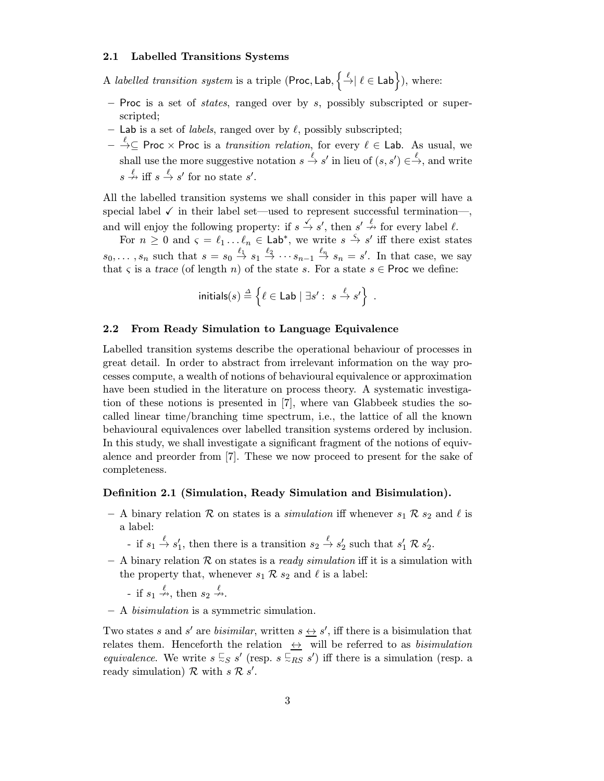#### 2.1 Labelled Transitions Systems

A labelled transition system is a triple (Proc, Lab,  $\{\stackrel{\ell}{\to}|\ell \in \textsf{Lab}\}\text{),}$  where:

- $-$  Proc is a set of *states*, ranged over by s, possibly subscripted or superscripted;
- Lab is a set of *labels*, ranged over by  $\ell$ , possibly subscripted;
- $-\overset{\ell}{\rightarrow} \subseteq$  Proc  $\times$  Proc is a *transition relation*, for every  $\ell \in$  Lab. As usual, we shall use the more suggestive notation  $s \stackrel{\ell}{\to} s'$  in lieu of  $(s, s') \in \stackrel{\ell}{\to}$ , and write  $s \stackrel{\ell}{\nrightarrow}$  iff  $s \stackrel{\ell}{\rightarrow} s'$  for no state  $s'.$

All the labelled transition systems we shall consider in this paper will have a special label  $\checkmark$  in their label set—used to represent successful termination—, and will enjoy the following property: if  $s \xrightarrow{s'} s'$ , then  $s' \xrightarrow{\ell}$  for every label  $\ell$ .

For  $n \geq 0$  and  $\varsigma = \ell_1 \ldots \ell_n \in \textsf{Lab}^*$ , we write  $s \stackrel{\varsigma}{\to} s'$  iff there exist states  $s_0, \ldots, s_n$  such that  $s = s_0 \stackrel{\ell_1}{\rightarrow} s_1 \stackrel{\ell_2}{\rightarrow} \cdots s_{n-1} \stackrel{\ell_n}{\rightarrow} s_n = s'$ . In that case, we say that  $\varsigma$  is a trace (of length n) of the state s. For a state  $s \in \text{Proc we define:}$ 

$$
\text{initials}(s) \stackrel{\Delta}{=} \Big\{\ell \in \textsf{Lab} \mid \exists s':\; s \stackrel{\ell}{\to} s' \Big\} \enspace.
$$

#### 2.2 From Ready Simulation to Language Equivalence

Labelled transition systems describe the operational behaviour of processes in great detail. In order to abstract from irrelevant information on the way processes compute, a wealth of notions of behavioural equivalence or approximation have been studied in the literature on process theory. A systematic investigation of these notions is presented in [7], where van Glabbeek studies the socalled linear time/branching time spectrum, i.e., the lattice of all the known behavioural equivalences over labelled transition systems ordered by inclusion. In this study, we shall investigate a significant fragment of the notions of equivalence and preorder from [7]. These we now proceed to present for the sake of completeness.

#### Definition 2.1 (Simulation, Ready Simulation and Bisimulation).

- A binary relation  $\mathcal R$  on states is a *simulation* iff whenever  $s_1 \mathcal R$   $s_2$  and  $\ell$  is a label:
	- if  $s_1 \stackrel{\ell}{\to} s'_1$ , then there is a transition  $s_2 \stackrel{\ell}{\to} s'_2$  such that  $s'_1 \mathcal{R} s'_2$ .
- A binary relation  $R$  on states is a *ready simulation* iff it is a simulation with the property that, whenever  $s_1 \mathcal{R} s_2$  and  $\ell$  is a label:
	- if  $s_1 \stackrel{\ell}{\nrightarrow}$ , then  $s_2 \stackrel{\ell}{\nrightarrow}$ .
- A bisimulation is a symmetric simulation.

Two states s and s' are *bisimilar*, written  $s \leftrightarrow s'$ , iff there is a bisimulation that relates them. Henceforth the relation  $\leftrightarrow$  will be referred to as *bisimulation equivalence.* We write  $s \subseteq_S s'$  (resp.  $s \subseteq_{RS} s'$ ) iff there is a simulation (resp. a ready simulation)  $R$  with  $s R s'$ .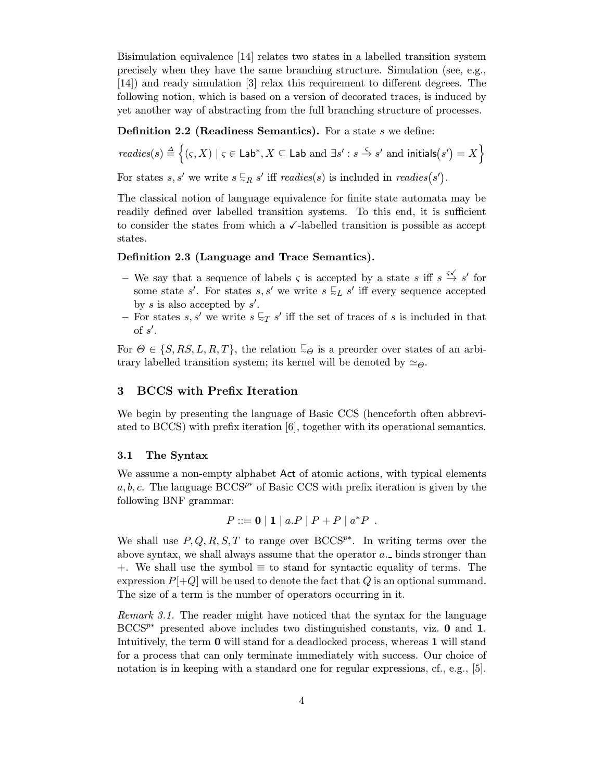Bisimulation equivalence [14] relates two states in a labelled transition system precisely when they have the same branching structure. Simulation (see, e.g., [14]) and ready simulation [3] relax this requirement to different degrees. The following notion, which is based on a version of decorated traces, is induced by yet another way of abstracting from the full branching structure of processes.

Definition 2.2 (Readiness Semantics). For a state s we define:

 $readies(s) \stackrel{\Delta}{=} \{(s, X) \mid s \in \textsf{Lab}^*, X \subseteq \textsf{Lab} \text{ and } \exists s': s \stackrel{\varsigma}{\to} s' \text{ and initials}(s') = X\}$ 

For states  $s, s'$  we write  $s \subset_R s'$  iff  $readies(s)$  is included in  $readies(s')$ .

The classical notion of language equivalence for finite state automata may be readily defined over labelled transition systems. To this end, it is sufficient to consider the states from which a  $\checkmark$ -labelled transition is possible as accept states.

#### Definition 2.3 (Language and Trace Semantics).

- We say that a sequence of labels  $\varsigma$  is accepted by a state s iff  $s \stackrel{\varsigma \checkmark}{\to} s'$  for some state s'. For states s, s' we write  $s \subsetneq_L s'$  iff every sequence accepted by s is also accepted by  $s'$ .
- − For states s, s' we write  $s \subseteq T s'$  iff the set of traces of s is included in that of  $s'.$

For  $\Theta \in \{S, RS, L, R, T\}$ , the relation  $\Xi_{\Theta}$  is a preorder over states of an arbitrary labelled transition system; its kernel will be denoted by  $\simeq_{\Theta}$ .

#### 3 BCCS with Prefix Iteration

We begin by presenting the language of Basic CCS (henceforth often abbreviated to BCCS) with prefix iteration [6], together with its operational semantics.

#### 3.1 The Syntax

We assume a non-empty alphabet Act of atomic actions, with typical elements a, b, c. The language  $\text{BCCS}^{p*}$  of Basic CCS with prefix iteration is given by the following BNF grammar:

$$
P ::= \mathbf{0} | \mathbf{1} | a.P | P + P | a^* P.
$$

We shall use  $P, Q, R, S, T$  to range over BCCS<sup>p\*</sup>. In writing terms over the above syntax, we shall always assume that the operator a. binds stronger than +. We shall use the symbol  $\equiv$  to stand for syntactic equality of terms. The expression  $P[+Q]$  will be used to denote the fact that Q is an optional summand. The size of a term is the number of operators occurring in it.

Remark 3.1. The reader might have noticed that the syntax for the language  $BCCS<sup>p*</sup>$  presented above includes two distinguished constants, viz. 0 and 1. Intuitively, the term 0 will stand for a deadlocked process, whereas 1 will stand for a process that can only terminate immediately with success. Our choice of notation is in keeping with a standard one for regular expressions, cf., e.g., [5].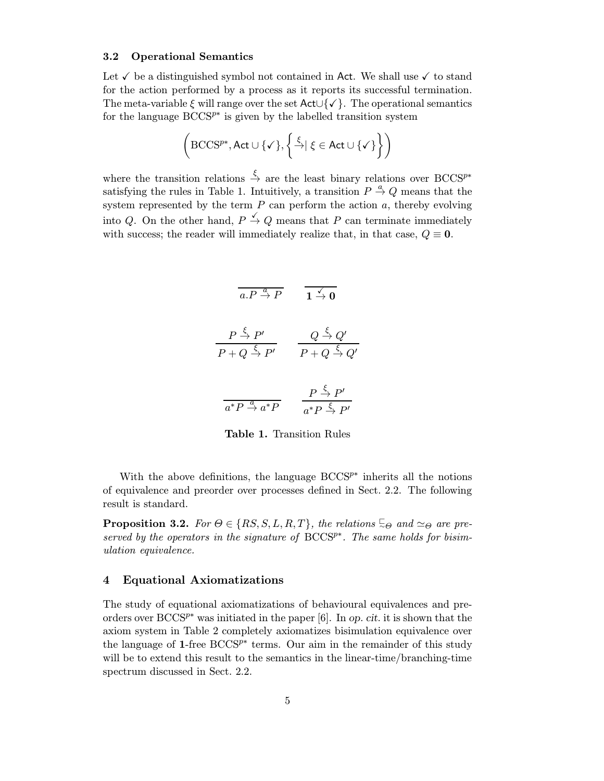#### 3.2 Operational Semantics

Let  $\checkmark$  be a distinguished symbol not contained in Act. We shall use  $\checkmark$  to stand for the action performed by a process as it reports its successful termination. The meta-variable  $\xi$  will range over the set Act∪{ $\checkmark$ }. The operational semantics for the language  $BCCS^{p*}$  is given by the labelled transition system

$$
\bigg( \text{BCCS}^{p*}, \text{Act} \cup \{\checkmark\}, \left\{\xrightarrow{\xi} \mid \xi \in \text{Act} \cup \{\checkmark\}\right\} \bigg)
$$

where the transition relations  $\xrightarrow{\xi}$  are the least binary relations over BCCS<sup>p\*</sup> satisfying the rules in Table 1. Intuitively, a transition  $P \stackrel{a}{\rightarrow} Q$  means that the system represented by the term  $P$  can perform the action  $a$ , thereby evolving into Q. On the other hand,  $P \stackrel{\checkmark}{\to} Q$  means that P can terminate immediately with success; the reader will immediately realize that, in that case,  $Q \equiv 0$ .

$$
\overline{a.P \xrightarrow{a} P} \qquad \overline{1 \xrightarrow{\checkmark}} 0
$$
\n
$$
\overline{P \xrightarrow{\xi} P'} \qquad \overline{Q \xrightarrow{\xi} Q'}
$$
\n
$$
\overline{P + Q \xrightarrow{\xi} P'} \qquad \overline{P + Q \xrightarrow{\xi} Q'}
$$
\n
$$
\overline{a^* P \xrightarrow{a} a^* P} \qquad \overline{a^* P \xrightarrow{\xi} P'}
$$

Table 1. Transition Rules

With the above definitions, the language  $BCCS^{p*}$  inherits all the notions of equivalence and preorder over processes defined in Sect. 2.2. The following result is standard.

**Proposition 3.2.** For  $\Theta \in \{RS, S, L, R, T\}$ , the relations  $\subseteq_{\Theta}$  and  $\simeq_{\Theta}$  are preserved by the operators in the signature of  $BCCS<sup>p*</sup>$ . The same holds for bisimulation equivalence.

#### 4 Equational Axiomatizations

The study of equational axiomatizations of behavioural equivalences and preorders over  $\text{BCCS}^{p*}$  was initiated in the paper [6]. In op. cit. it is shown that the axiom system in Table 2 completely axiomatizes bisimulation equivalence over the language of 1-free  $BCCS^{p*}$  terms. Our aim in the remainder of this study will be to extend this result to the semantics in the linear-time/branching-time spectrum discussed in Sect. 2.2.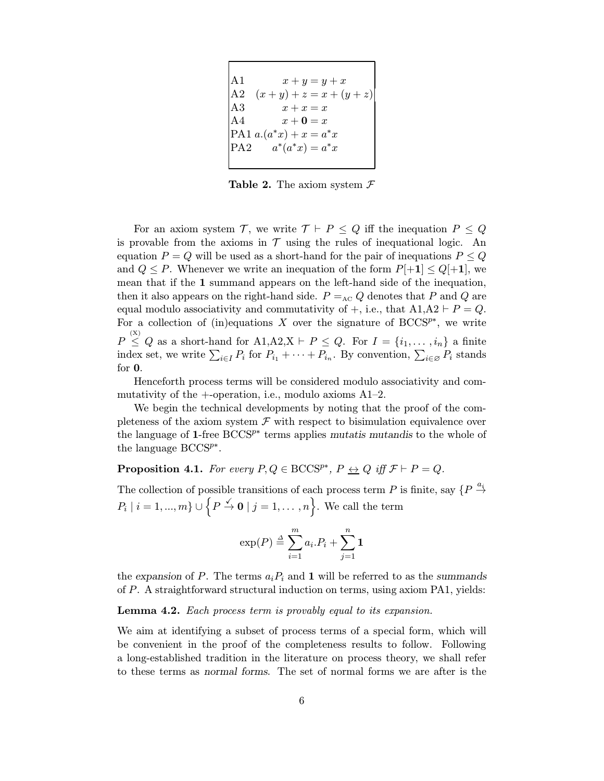A1 
$$
x + y = y + x
$$
  
\nA2  $(x + y) + z = x + (y + z)$   
\nA3  $x + x = x$   
\nA4  $x + 0 = x$   
\nPA1  $a.(a^*x) + x = a^*x$   
\nPA2  $a^*(a^*x) = a^*x$ 

**Table 2.** The axiom system  $\mathcal{F}$ 

For an axiom system T, we write  $T \vdash P \le Q$  iff the inequation  $P \le Q$ is provable from the axioms in  $\mathcal T$  using the rules of inequational logic. An equation  $P = Q$  will be used as a short-hand for the pair of inequations  $P \leq Q$ and  $Q \leq P$ . Whenever we write an inequation of the form  $P[+1] \leq Q[+1]$ , we mean that if the 1 summand appears on the left-hand side of the inequation, then it also appears on the right-hand side.  $P =_{AC} Q$  denotes that P and Q are equal modulo associativity and commutativity of  $+$ , i.e., that  $A1, A2 \vdash P = Q$ . For a collection of (in)equations X over the signature of  $\text{BCCS}^{p*}$ , we write  $P \stackrel{\text{(X)}}{\leq} Q$  as a short-hand for  $A1, A2, X \vdash P \leq Q$ . For  $I = \{i_1, \ldots, i_n\}$  a finite index set, we write  $\sum_{i\in I} P_i$  for  $P_{i_1} + \cdots + P_{i_n}$ . By convention,  $\sum_{i\in\mathcal{Q}} P_i$  stands for 0.

Henceforth process terms will be considered modulo associativity and commutativity of the  $+$ -operation, i.e., modulo axioms  $A1-2$ .

We begin the technical developments by noting that the proof of the completeness of the axiom system  $\mathcal F$  with respect to bisimulation equivalence over the language of 1-free  $BCCS^{p*}$  terms applies mutatis mutandis to the whole of the language  $\text{BCCS}^{p*}$ .

**Proposition 4.1.** For every  $P, Q \in BCCS^{p*}, P \leftrightarrow Q$  iff  $\mathcal{F} \vdash P = Q$ .

The collection of possible transitions of each process term P is finite, say  $\{P \stackrel{a_i}{\rightarrow} \}$  $P_i | i = 1, ..., m$   $\cup \{P \stackrel{\checkmark}{\rightarrow} \mathbf{0} | j = 1, ..., n\}$ . We call the term

$$
\exp(P) \stackrel{\Delta}{=} \sum_{i=1}^{m} a_i P_i + \sum_{j=1}^{n} \mathbf{1}
$$

the expansion of P. The terms  $a_iP_i$  and 1 will be referred to as the summands of P. A straightforward structural induction on terms, using axiom PA1, yields:

#### Lemma 4.2. Each process term is provably equal to its expansion.

We aim at identifying a subset of process terms of a special form, which will be convenient in the proof of the completeness results to follow. Following a long-established tradition in the literature on process theory, we shall refer to these terms as normal forms. The set of normal forms we are after is the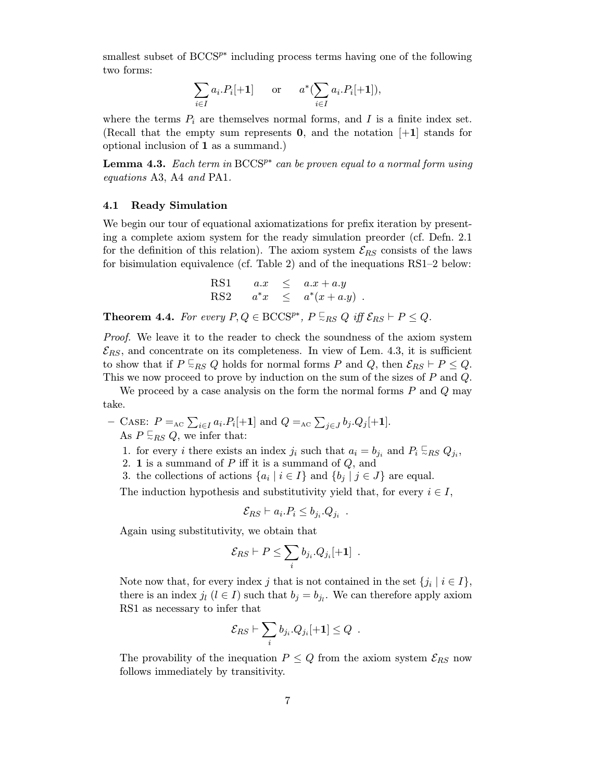smallest subset of  $BCCS<sup>p*</sup>$  including process terms having one of the following two forms:

$$
\sum_{i\in I} a_i P_i[+1] \qquad \text{or} \qquad a^*(\sum_{i\in I} a_i P_i[+1]),
$$

where the terms  $P_i$  are themselves normal forms, and  $I$  is a finite index set. (Recall that the empty sum represents  $\bf{0}$ , and the notation  $[+1]$  stands for optional inclusion of 1 as a summand.)

**Lemma 4.3.** Each term in  $BCCS^{p*}$  can be proven equal to a normal form using equations A3, A4 and PA1.

#### 4.1 Ready Simulation

We begin our tour of equational axiomatizations for prefix iteration by presenting a complete axiom system for the ready simulation preorder (cf. Defn. 2.1 for the definition of this relation). The axiom system  $\mathcal{E}_{RS}$  consists of the laws for bisimulation equivalence (cf. Table 2) and of the inequations RS1–2 below:

RS1 
$$
a.x \leq a.x + a.y
$$
  
RS2  $a^*x \leq a^*(x + a.y)$ .

**Theorem 4.4.** For every  $P, Q \in BCCS^{p*}, P \subsetneq_{RS} Q$  iff  $\mathcal{E}_{RS} \vdash P \leq Q$ .

Proof. We leave it to the reader to check the soundness of the axiom system  $\mathcal{E}_{RS}$ , and concentrate on its completeness. In view of Lem. 4.3, it is sufficient to show that if  $P \subseteq_{RS} Q$  holds for normal forms P and Q, then  $\mathcal{E}_{RS} \vdash P \leq Q$ . This we now proceed to prove by induction on the sum of the sizes of P and Q.

We proceed by a case analysis on the form the normal forms  $P$  and  $Q$  may take.

- CASE: 
$$
P =_{AC} \sum_{i \in I} a_i P_i[+1]
$$
 and  $Q =_{AC} \sum_{j \in J} b_j Q_j[+1]$ .  
As  $P \subseteq_{RS} Q$ , we infer that:

- 1. for every *i* there exists an index  $j_i$  such that  $a_i = b_{j_i}$  and  $P_i \subseteq_{RS} Q_{j_i}$ ,
- 2. **1** is a summand of  $P$  iff it is a summand of  $Q$ , and
- 3. the collections of actions  $\{a_i | i \in I\}$  and  $\{b_j | j \in J\}$  are equal.

The induction hypothesis and substitutivity yield that, for every  $i \in I$ ,

$$
\mathcal{E}_{RS} \vdash a_i.P_i \leq b_{j_i}.Q_{j_i} .
$$

Again using substitutivity, we obtain that

$$
\mathcal{E}_{RS} \vdash P \leq \sum_i b_{j_i}.Q_{j_i}[\mathbf{+1}] \enspace .
$$

Note now that, for every index j that is not contained in the set  $\{j_i | i \in I\}$ , there is an index  $j_l$   $(l \in I)$  such that  $b_j = b_{j_l}$ . We can therefore apply axiom RS1 as necessary to infer that

$$
\mathcal{E}_{RS} \vdash \sum_i b_{j_i}.Q_{j_i}[\mathbf{+1}] \leq Q \enspace .
$$

The provability of the inequation  $P \leq Q$  from the axiom system  $\mathcal{E}_{RS}$  now follows immediately by transitivity.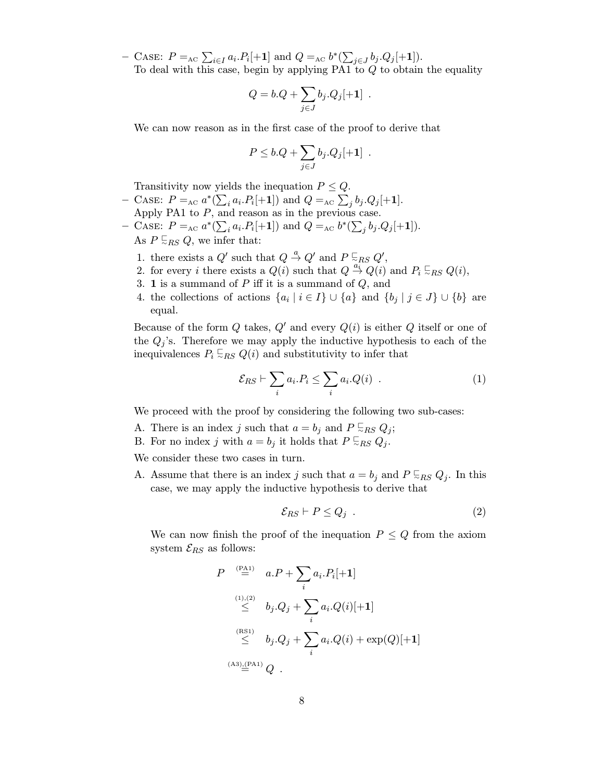– CASE:  $P =_{AC} \sum_{i \in I} a_i P_i[+1]$  and  $Q =_{AC} b^*(\sum_{j \in J} b_j Q_j[+1]).$ 

To deal with this case, begin by applying PA1 to  $Q$  to obtain the equality

$$
Q = b.Q + \sum_{j\in J} b_j.Q_j[+1] .
$$

We can now reason as in the first case of the proof to derive that

$$
P \leq b.Q + \sum_{j\in J} b_j.Q_j[+1] .
$$

Transitivity now yields the inequation  $P \leq Q$ .

- − CASE:  $P =_{AC} a^* (\sum_i a_i.P_i[+1])$  and  $Q =_{AC} \sum_j b_j.Q_j[+1]$ . Apply PA1 to  $P$ , and reason as in the previous case.
- CASE:  $P =_{AC} a^* (\sum_i a_i.P_i[+1])$  and  $Q =_{AC} b^* (\sum_j b_j.Q_j[+1])$ . As  $P \subset R_S Q$ , we infer that:
	- 1. there exists a  $Q'$  such that  $Q \stackrel{a}{\rightarrow} Q'$  and  $P \subsetneq_{RS} Q'$ ,
	- 2. for every *i* there exists a  $Q(i)$  such that  $Q \stackrel{a}{\to} Q(i)$  and  $P_i \stackrel{\sqsubset}{\subset}_{RS} Q(i)$ ,
	- 3. 1 is a summand of  $P$  iff it is a summand of  $Q$ , and
	- 4. the collections of actions  $\{a_i | i \in I\} \cup \{a\}$  and  $\{b_j | j \in J\} \cup \{b\}$  are equal.

Because of the form Q takes,  $Q'$  and every  $Q(i)$  is either Q itself or one of the  $Q_j$ 's. Therefore we may apply the inductive hypothesis to each of the inequivalences  $P_i \subset_R S$   $Q(i)$  and substitutivity to infer that

$$
\mathcal{E}_{RS} \vdash \sum_{i} a_i P_i \le \sum_i a_i Q(i) . \tag{1}
$$

We proceed with the proof by considering the following two sub-cases:

- A. There is an index j such that  $a = b_j$  and  $P \subseteq_{RS} Q_j$ ;
- B. For no index j with  $a = b_j$  it holds that  $P \subseteq R_S Q_j$ .

We consider these two cases in turn.

A. Assume that there is an index j such that  $a = b_j$  and  $P \subseteq_{RS} Q_j$ . In this case, we may apply the inductive hypothesis to derive that

$$
\mathcal{E}_{RS} \vdash P \le Q_j \tag{2}
$$

We can now finish the proof of the inequation  $P \leq Q$  from the axiom system  $\mathcal{E}_{RS}$  as follows:

$$
P \stackrel{\text{(PA1)}}{=} a.P + \sum_{i} a_i.P_i[+1]
$$
  
\n
$$
\stackrel{\text{(1),(2)}}{\leq} b_j.Q_j + \sum_{i} a_i.Q(i)[+1]
$$
  
\n
$$
\stackrel{\text{(RS1)}}{\leq} b_j.Q_j + \sum_{i} a_i.Q(i) + \exp(Q)[+1]
$$
  
\n
$$
\stackrel{\text{(AS1)}}{\leq} Q .
$$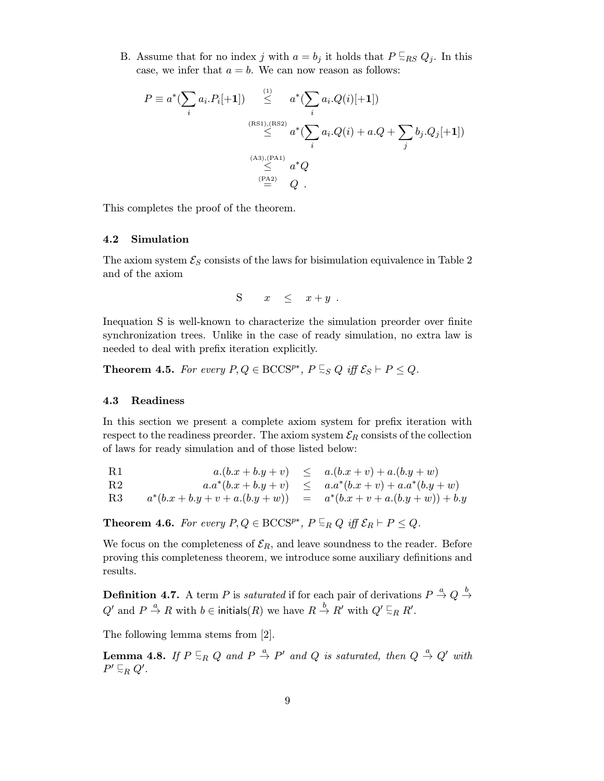B. Assume that for no index j with  $a = b_j$  it holds that  $P \subseteq R_S Q_j$ . In this case, we infer that  $a = b$ . We can now reason as follows:

$$
P \equiv a^*(\sum_i a_i P_i[+1]) \stackrel{(1)}{\leq} a^*(\sum_i a_i Q(i)[+1])
$$
  

$$
\stackrel{(RS1),(RS2)}{\leq} a^*(\sum_i a_i Q(i) + a.Q + \sum_j b_j.Q_j[+1])
$$
  

$$
\stackrel{(A3),(PA1)}{\leq} a^*Q
$$
  

$$
\stackrel{(PA2)}{=} Q.
$$

This completes the proof of the theorem.

#### 4.2 Simulation

The axiom system  $\mathcal{E}_S$  consists of the laws for bisimulation equivalence in Table 2 and of the axiom

$$
S \quad x \leq x + y \; .
$$

Inequation S is well-known to characterize the simulation preorder over finite synchronization trees. Unlike in the case of ready simulation, no extra law is needed to deal with prefix iteration explicitly.

**Theorem 4.5.** For every  $P, Q \in \text{BCCS}^{p*}, P \subseteq S Q$  iff  $\mathcal{E}_S \vdash P \leq Q$ .

#### 4.3 Readiness

In this section we present a complete axiom system for prefix iteration with respect to the readiness preorder. The axiom system  $\mathcal{E}_R$  consists of the collection of laws for ready simulation and of those listed below:

R1  $a.(b.x + b.y + v) \le a.(b.x + v) + a.(b.y + w)$ R2  $a.a*(b.x + b.y + v) \leq a.a*(b.x + v) + a.a*(b.y + w)$ R3  $a^*(b.x + b.y + v + a.(b.y + w)) = a^*(b.x + v + a.(b.y + w)) + b.y$ 

**Theorem 4.6.** For every  $P, Q \in BCCS^{p*}, P \subset R Q$  iff  $\mathcal{E}_R \vdash P \leq Q$ .

We focus on the completeness of  $\mathcal{E}_R$ , and leave soundness to the reader. Before proving this completeness theorem, we introduce some auxiliary definitions and results.

**Definition 4.7.** A term P is *saturated* if for each pair of derivations  $P \stackrel{a}{\rightarrow} Q \stackrel{b}{\rightarrow} Q$  $Q'$  and  $P\stackrel{a}{\to}R$  with  $b\in\mathsf{initials}(R)$  we have  $R\stackrel{b}{\to}R'$  with  $Q'\stackrel{\sqsubset}{\succcurlyeq}_R R'.$ 

The following lemma stems from [2].

**Lemma 4.8.** If  $P \subseteq_R Q$  and  $P \stackrel{a}{\rightarrow} P'$  and  $Q$  is saturated, then  $Q \stackrel{a}{\rightarrow} Q'$  with  $P' \subseteq_R Q'.$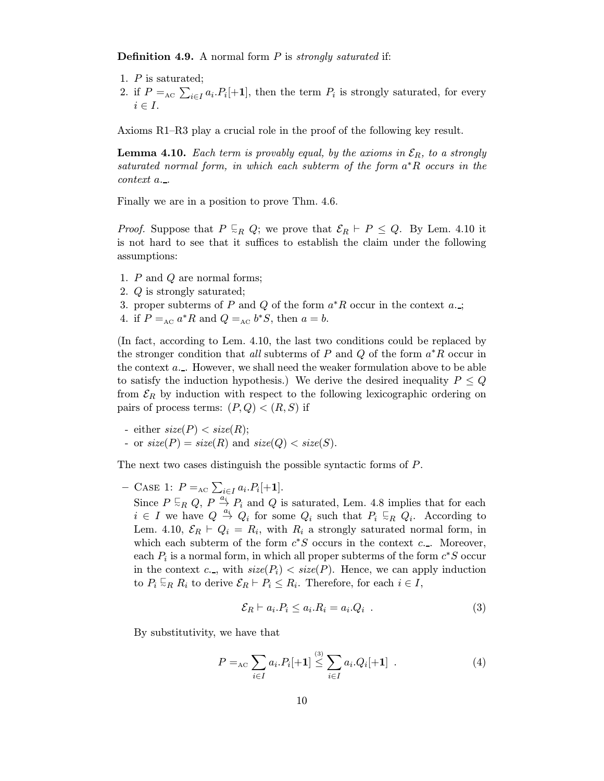**Definition 4.9.** A normal form  $P$  is *strongly saturated* if:

- 1. P is saturated;
- 2. if  $P =_{AC} \sum_{i \in I} a_i P_i[+1]$ , then the term  $P_i$  is strongly saturated, for every  $i \in I$ .

Axioms R1–R3 play a crucial role in the proof of the following key result.

**Lemma 4.10.** Each term is provably equal, by the axioms in  $\mathcal{E}_R$ , to a strongly saturated normal form, in which each subterm of the form  $a<sup>*</sup>R$  occurs in the context a.\_

Finally we are in a position to prove Thm. 4.6.

*Proof.* Suppose that  $P \subseteq_R Q$ ; we prove that  $\mathcal{E}_R \vdash P \leq Q$ . By Lem. 4.10 it is not hard to see that it suffices to establish the claim under the following assumptions:

- 1. P and Q are normal forms;
- 2. Q is strongly saturated;
- 3. proper subterms of P and Q of the form  $a^*R$  occur in the context  $a$ .
- 4. if  $P =_{AC} a^* R$  and  $Q =_{AC} b^* S$ , then  $a = b$ .

(In fact, according to Lem. 4.10, the last two conditions could be replaced by the stronger condition that all subterms of P and Q of the form  $a<sup>*</sup>R$  occur in the context  $a_{\cdot}$ . However, we shall need the weaker formulation above to be able to satisfy the induction hypothesis.) We derive the desired inequality  $P \leq Q$ from  $\mathcal{E}_R$  by induction with respect to the following lexicographic ordering on pairs of process terms:  $(P,Q) < (R, S)$  if

- either 
$$
size(P) < size(R)
$$
;

- or  $size(P) = size(R)$  and  $size(Q) < size(S)$ .

The next two cases distinguish the possible syntactic forms of P.

 $-$  CASE 1:  $P =_{AC} \sum_{i \in I} a_i P_i[+1].$ 

Since  $P \subseteq_R Q$ ,  $P \stackrel{a_i}{\rightarrow} P_i$  and Q is saturated, Lem. 4.8 implies that for each  $i \in I$  we have  $Q \stackrel{a_i}{\rightarrow} Q_i$  for some  $Q_i$  such that  $P_i \stackrel{\sqsubset}{\rightarrow} Q_i$ . According to Lem. 4.10,  $\mathcal{E}_R \vdash Q_i = R_i$ , with  $R_i$  a strongly saturated normal form, in which each subterm of the form  $c$ <sup>\*</sup>S occurs in the context  $c$ ... Moreover, each  $P_i$  is a normal form, in which all proper subterms of the form  $c^*S$  occur in the context c.., with  $size(P_i) < size(P)$ . Hence, we can apply induction to  $P_i \subseteq_R R_i$  to derive  $\mathcal{E}_R \vdash P_i \leq R_i$ . Therefore, for each  $i \in I$ ,

$$
\mathcal{E}_R \vdash a_i.P_i \leq a_i.R_i = a_i.Q_i . \tag{3}
$$

By substitutivity, we have that

$$
P =_{AC} \sum_{i \in I} a_i P_i[+1] \stackrel{(3)}{\leq} \sum_{i \in I} a_i Q_i[+1] . \tag{4}
$$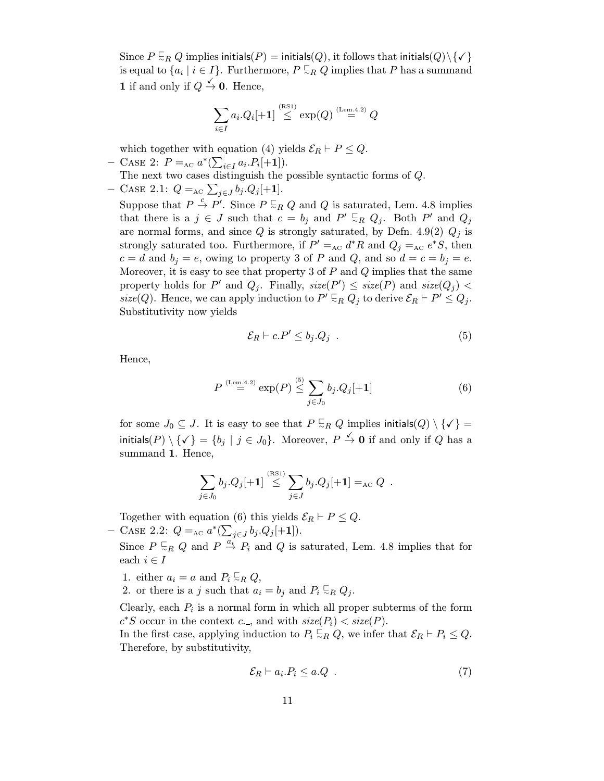Since  $P\mathbin{\overline{\ltimes}}_R Q$  implies initials $(P)=$  initials $(Q),$  it follows that initials $(Q)\!\setminus\!\{\checkmark\}$ is equal to  $\{a_i\mid i\in I\}$ . Furthermore,  $P\subseteq_R Q$  implies that  $P$  has a summand **1** if and only if  $Q \to 0$ . Hence,

$$
\sum_{i\in I} a_i.Q_i[+1] \stackrel{\text{(RS1)}}{\leq} \exp(Q) \stackrel{\text{(Lem.4.2)}}{=} Q
$$

which together with equation (4) yields  $\mathcal{E}_R \vdash P \leq Q$ .

- CASE 2:  $P =_{AC} a^*(\sum_{i \in I} a_i \cdot P_i[+1]).$
- The next two cases distinguish the possible syntactic forms of Q.
- $-$  CASE 2.1:  $Q =_{AC} \sum_{j \in J} b_j . Q_j[+1].$ 
	- Suppose that  $P \stackrel{c}{\rightarrow} P'$ . Since  $P \stackrel{c}{\leftarrow} R Q$  and Q is saturated, Lem. 4.8 implies that there is a  $j \in J$  such that  $c = b_j$  and  $P' \subseteq_R Q_j$ . Both  $P'$  and  $Q_j$ are normal forms, and since Q is strongly saturated, by Defn. 4.9(2)  $Q_i$  is strongly saturated too. Furthermore, if  $P' =_{AC} d^*R$  and  $Q_j =_{AC} e^*S$ , then  $c = d$  and  $b_j = e$ , owing to property 3 of P and Q, and so  $d = c = b_j = e$ . Moreover, it is easy to see that property 3 of  $P$  and  $Q$  implies that the same property holds for  $P'$  and  $Q_j$ . Finally,  $size(P') \leq size(P)$  and  $size(Q_j)$ size(Q). Hence, we can apply induction to  $P' \subseteq_R Q_j$  to derive  $\mathcal{E}_R \vdash P' \leq Q_j$ . Substitutivity now yields

$$
\mathcal{E}_R \vdash c.P' \le b_j.Q_j . \tag{5}
$$

Hence,

$$
P^{(\text{Lem.4.2})} \exp(P) \stackrel{(5)}{\leq} \sum_{j \in J_0} b_j . Q_j[+1] \tag{6}
$$

for some  $J_0 \subseteq J$ . It is easy to see that  $P \subseteq_R Q$  implies initials $(Q) \setminus \{\checkmark\} = \checkmark$ initials $(P)\setminus \{\checkmark\} = \{b_j\mid j\in J_0\}.$  Moreover,  $P\stackrel{\checkmark}{\to} \mathbf{0}$  if and only if  $Q$  has a summand 1. Hence,

$$
\sum_{j\in J_0}b_j.Q_j[+1] \stackrel{\text{(RS1)}}{\leq} \sum_{j\in J}b_j.Q_j[+1] =_{AC} Q.
$$

Together with equation (6) this yields  $\mathcal{E}_R \vdash P \leq Q$ .

– CASE 2.2:  $Q =_{AC} a^*(\sum_{j \in J} b_j . Q_j[+1]).$ 

Since  $P \subseteq_R Q$  and  $P \stackrel{a_i}{\rightarrow} P_i$  and Q is saturated, Lem. 4.8 implies that for each  $i \in I$ 

1. either  $a_i = a$  and  $P_i \subset_R Q$ ,

2. or there is a j such that  $a_i = b_j$  and  $P_i \subseteq_R Q_j$ .

Clearly, each  $P_i$  is a normal form in which all proper subterms of the form  $c^*S$  occur in the context c..., and with  $size(P_i) < size(P)$ .

In the first case, applying induction to  $P_i \subseteq_R Q$ , we infer that  $\mathcal{E}_R \vdash P_i \leq Q$ . Therefore, by substitutivity,

$$
\mathcal{E}_R \vdash a_i.P_i \le a.Q . \tag{7}
$$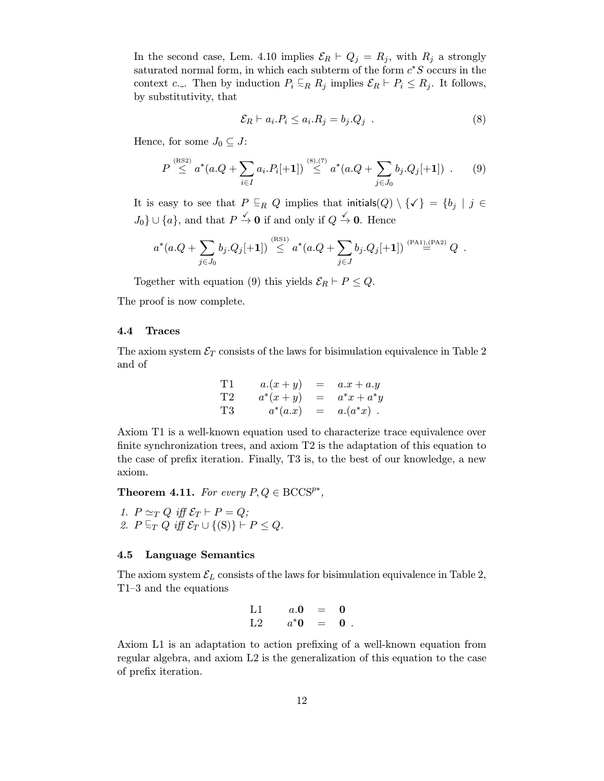In the second case, Lem. 4.10 implies  $\mathcal{E}_R \vdash Q_j = R_j$ , with  $R_j$  a strongly saturated normal form, in which each subterm of the form  $c^*S$  occurs in the context c... Then by induction  $P_i \subseteq_R R_j$  implies  $\mathcal{E}_R \vdash P_i \leq R_j$ . It follows, by substitutivity, that

$$
\mathcal{E}_R \vdash a_i.P_i \le a_i.R_j = b_j.Q_j . \tag{8}
$$

Hence, for some  $J_0 \subseteq J$ :

$$
P \stackrel{\text{(RS2)}}{\leq} a^*(a.Q + \sum_{i \in I} a_i.P_i[+1]) \stackrel{\text{(8)},\text{(7)}}{\leq} a^*(a.Q + \sum_{j \in J_0} b_j.Q_j[+1]) . \tag{9}
$$

It is easy to see that  $P \subseteq_R Q$  implies that initials $(Q) \setminus \{\checkmark\} = \{b_j \mid j \in I\}$  $J_0$ }  $\cup \{a\}$ , and that  $P \stackrel{\checkmark}{\to} \mathbf{0}$  if and only if  $Q \stackrel{\checkmark}{\to} \mathbf{0}$ . Hence

$$
a^*(a.Q + \sum_{j\in J_0} b_j.Q_j[+1]) \stackrel{\text{(RS1)}}{\leq} a^*(a.Q + \sum_{j\in J} b_j.Q_j[+1]) \stackrel{\text{(PA1)}\text{.}(PA2)}{=} Q .
$$

Together with equation (9) this yields  $\mathcal{E}_R \vdash P \leq Q$ .

The proof is now complete.

#### 4.4 Traces

The axiom system  $\mathcal{E}_T$  consists of the laws for bisimulation equivalence in Table 2 and of

T1 
$$
a.(x + y) = a.x + a.y
$$
  
\nT2  $a^*(x + y) = a^*x + a^*y$   
\nT3  $a^*(a.x) = a.(a^*x)$ .

Axiom T1 is a well-known equation used to characterize trace equivalence over finite synchronization trees, and axiom T2 is the adaptation of this equation to the case of prefix iteration. Finally, T3 is, to the best of our knowledge, a new axiom.

**Theorem 4.11.** For every  $P, Q \in BCCS^{p*}$ ,

1.  $P \simeq_T Q$  iff  $\mathcal{E}_T \vdash P = Q$ ; 2.  $P \subseteq_T Q$  iff  $\mathcal{E}_T \cup \{(\mathbf{S})\} \vdash P \leq Q$ .

#### 4.5 Language Semantics

The axiom system  $\mathcal{E}_L$  consists of the laws for bisimulation equivalence in Table 2, T1–3 and the equations

L1 
$$
a.\mathbf{0} = \mathbf{0}
$$
  
L2  $a^*\mathbf{0} = \mathbf{0}$ .

Axiom L1 is an adaptation to action prefixing of a well-known equation from regular algebra, and axiom L2 is the generalization of this equation to the case of prefix iteration.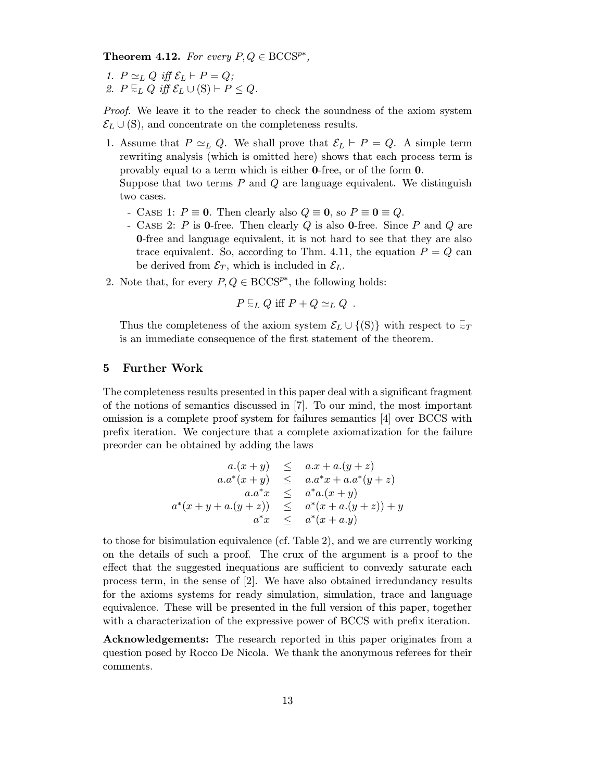Theorem 4.12. For every  $P, Q \in BCCS^{p*}$ ,

1.  $P \simeq_L Q$  iff  $\mathcal{E}_L \vdash P = Q;$ 2.  $P \subseteq_L Q$  iff  $\mathcal{E}_L \cup (\mathbf{S}) \vdash P \leq Q$ .

Proof. We leave it to the reader to check the soundness of the axiom system  $\mathcal{E}_L \cup (S)$ , and concentrate on the completeness results.

1. Assume that  $P \simeq_L Q$ . We shall prove that  $\mathcal{E}_L \vdash P = Q$ . A simple term rewriting analysis (which is omitted here) shows that each process term is provably equal to a term which is either 0-free, or of the form 0.

Suppose that two terms  $P$  and  $Q$  are language equivalent. We distinguish two cases.

- CASE 1:  $P \equiv 0$ . Then clearly also  $Q \equiv 0$ , so  $P \equiv 0 \equiv Q$ .
- CASE 2:  $P$  is 0-free. Then clearly  $Q$  is also 0-free. Since  $P$  and  $Q$  are 0-free and language equivalent, it is not hard to see that they are also trace equivalent. So, according to Thm. 4.11, the equation  $P = Q$  can be derived from  $\mathcal{E}_T$ , which is included in  $\mathcal{E}_L$ .
- 2. Note that, for every  $P, Q \in BCCS^{p*}$ , the following holds:

$$
P \subseteq_L Q \text{ iff } P + Q \simeq_L Q .
$$

Thus the completeness of the axiom system  $\mathcal{E}_L \cup \{(\mathbf{S})\}$  with respect to  $\mathbb{Z}_T$ is an immediate consequence of the first statement of the theorem.

#### 5 Further Work

The completeness results presented in this paper deal with a significant fragment of the notions of semantics discussed in [7]. To our mind, the most important omission is a complete proof system for failures semantics [4] over BCCS with prefix iteration. We conjecture that a complete axiomatization for the failure preorder can be obtained by adding the laws

$$
a.(x + y) \leq a.x + a.(y + z)
$$
  
\n
$$
a.a^*(x + y) \leq a.a^*x + a.a^*(y + z)
$$
  
\n
$$
a.a^*x \leq a^*a.(x + y)
$$
  
\n
$$
a^*(x + y + a.(y + z)) \leq a^*(x + a.(y + z)) + y
$$
  
\n
$$
a^*x \leq a^*(x + a.y)
$$

to those for bisimulation equivalence (cf. Table 2), and we are currently working on the details of such a proof. The crux of the argument is a proof to the effect that the suggested inequations are sufficient to convexly saturate each process term, in the sense of [2]. We have also obtained irredundancy results for the axioms systems for ready simulation, simulation, trace and language equivalence. These will be presented in the full version of this paper, together with a characterization of the expressive power of BCCS with prefix iteration.

Acknowledgements: The research reported in this paper originates from a question posed by Rocco De Nicola. We thank the anonymous referees for their comments.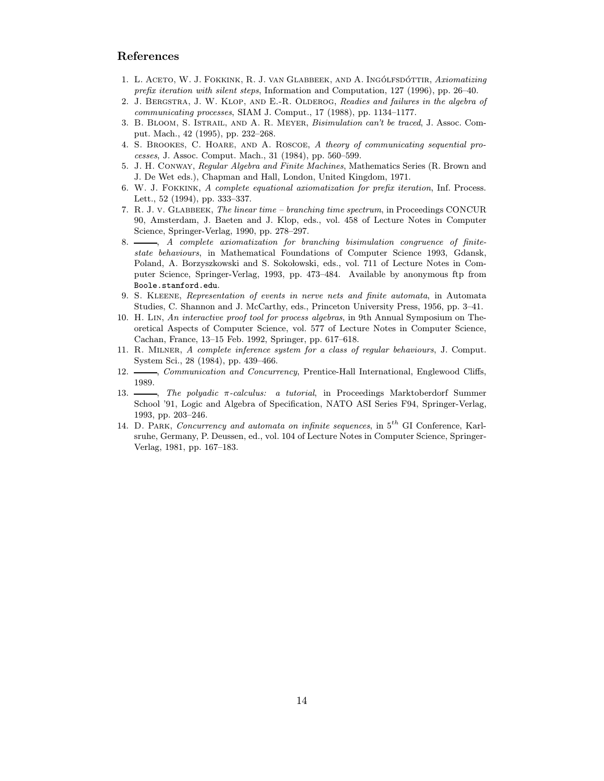#### References

- 1. L. ACETO, W. J. FOKKINK, R. J. VAN GLABBEEK, AND A. INGÓLFSDÓTTIR, Axiomatizing prefix iteration with silent steps, Information and Computation, 127 (1996), pp. 26–40.
- 2. J. BERGSTRA, J. W. KLOP, AND E.-R. OLDEROG, Readies and failures in the algebra of communicating processes, SIAM J. Comput., 17 (1988), pp. 1134–1177.
- 3. B. Bloom, S. Istrail, and A. R. Meyer, Bisimulation can't be traced, J. Assoc. Comput. Mach., 42 (1995), pp. 232–268.
- 4. S. Brookes, C. Hoare, and A. Roscoe, A theory of communicating sequential processes, J. Assoc. Comput. Mach., 31 (1984), pp. 560–599.
- 5. J. H. Conway, Regular Algebra and Finite Machines, Mathematics Series (R. Brown and J. De Wet eds.), Chapman and Hall, London, United Kingdom, 1971.
- 6. W. J. Fokkink, A complete equational axiomatization for prefix iteration, Inf. Process. Lett., 52 (1994), pp. 333–337.
- 7. R. J. v. Glabbeek, The linear time branching time spectrum, in Proceedings CONCUR 90, Amsterdam, J. Baeten and J. Klop, eds., vol. 458 of Lecture Notes in Computer Science, Springer-Verlag, 1990, pp. 278–297.
- $8.$   $\longrightarrow$ , A complete axiomatization for branching bisimulation congruence of finitestate behaviours, in Mathematical Foundations of Computer Science 1993, Gdansk, Poland, A. Borzyszkowski and S. Sokołowski, eds., vol. 711 of Lecture Notes in Computer Science, Springer-Verlag, 1993, pp. 473–484. Available by anonymous ftp from Boole.stanford.edu.
- 9. S. Kleene, Representation of events in nerve nets and finite automata, in Automata Studies, C. Shannon and J. McCarthy, eds., Princeton University Press, 1956, pp. 3–41.
- 10. H. Lin, An interactive proof tool for process algebras, in 9th Annual Symposium on Theoretical Aspects of Computer Science, vol. 577 of Lecture Notes in Computer Science, Cachan, France, 13–15 Feb. 1992, Springer, pp. 617–618.
- 11. R. Milner, A complete inference system for a class of regular behaviours, J. Comput. System Sci., 28 (1984), pp. 439–466.
- 12.  $\_\_\_\_\$ , Communication and Concurrency, Prentice-Hall International, Englewood Cliffs, 1989.
- 13.  $\frac{m}{n}$ , The polyadic  $\pi$ -calculus: a tutorial, in Proceedings Marktoberdorf Summer School '91, Logic and Algebra of Specification, NATO ASI Series F94, Springer-Verlag, 1993, pp. 203–246.
- 14. D. PARK, Concurrency and automata on infinite sequences, in  $5^{th}$  GI Conference, Karlsruhe, Germany, P. Deussen, ed., vol. 104 of Lecture Notes in Computer Science, Springer-Verlag, 1981, pp. 167–183.